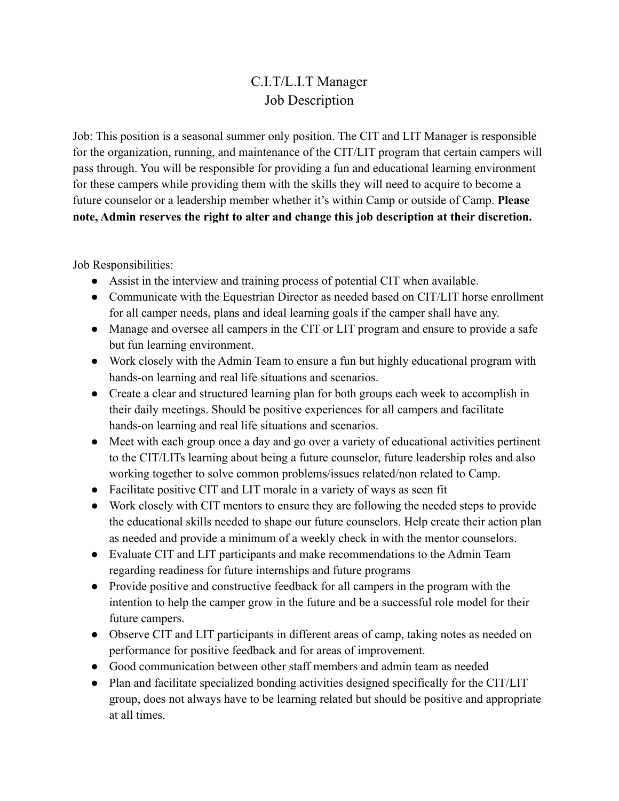## C.I.T/L.I.T Manager Job Description

Job: This position is a seasonal summer only position. The CIT and LIT Manager is responsible for the organization, running, and maintenance of the CIT/LIT program that certain campers will pass through. You will be responsible for providing a fun and educational learning environment for these campers while providing them with the skills they will need to acquire to become a future counselor or a leadership member whether it's within Camp or outside of Camp. **Please note, Admin reserves the right to alter and change this job description at their discretion.**

Job Responsibilities:

- Assist in the interview and training process of potential CIT when available.
- Communicate with the Equestrian Director as needed based on CIT/LIT horse enrollment for all camper needs, plans and ideal learning goals if the camper shall have any.
- Manage and oversee all campers in the CIT or LIT program and ensure to provide a safe but fun learning environment.
- Work closely with the Admin Team to ensure a fun but highly educational program with hands-on learning and real life situations and scenarios.
- Create a clear and structured learning plan for both groups each week to accomplish in their daily meetings. Should be positive experiences for all campers and facilitate hands-on learning and real life situations and scenarios.
- Meet with each group once a day and go over a variety of educational activities pertinent to the CIT/LITs learning about being a future counselor, future leadership roles and also working together to solve common problems/issues related/non related to Camp.
- Facilitate positive CIT and LIT morale in a variety of ways as seen fit
- Work closely with CIT mentors to ensure they are following the needed steps to provide the educational skills needed to shape our future counselors. Help create their action plan as needed and provide a minimum of a weekly check in with the mentor counselors.
- Evaluate CIT and LIT participants and make recommendations to the Admin Team regarding readiness for future internships and future programs
- Provide positive and constructive feedback for all campers in the program with the intention to help the camper grow in the future and be a successful role model for their future campers.
- Observe CIT and LIT participants in different areas of camp, taking notes as needed on performance for positive feedback and for areas of improvement.
- Good communication between other staff members and admin team as needed
- Plan and facilitate specialized bonding activities designed specifically for the CIT/LIT group, does not always have to be learning related but should be positive and appropriate at all times.